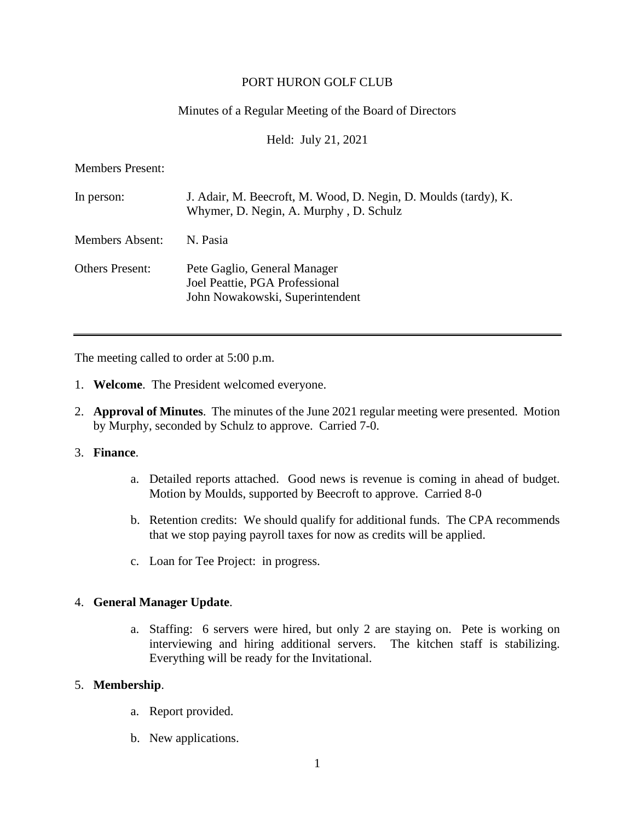## PORT HURON GOLF CLUB

# Minutes of a Regular Meeting of the Board of Directors

Held: July 21, 2021

Members Present:

| In person:             | J. Adair, M. Beecroft, M. Wood, D. Negin, D. Moulds (tardy), K.<br>Whymer, D. Negin, A. Murphy, D. Schulz |
|------------------------|-----------------------------------------------------------------------------------------------------------|
| Members Absent:        | N. Pasia                                                                                                  |
| <b>Others Present:</b> | Pete Gaglio, General Manager<br>Joel Peattie, PGA Professional<br>John Nowakowski, Superintendent         |

The meeting called to order at 5:00 p.m.

- 1. **Welcome**. The President welcomed everyone.
- 2. **Approval of Minutes**. The minutes of the June 2021 regular meeting were presented. Motion by Murphy, seconded by Schulz to approve. Carried 7-0.

#### 3. **Finance**.

- a. Detailed reports attached. Good news is revenue is coming in ahead of budget. Motion by Moulds, supported by Beecroft to approve. Carried 8-0
- b. Retention credits: We should qualify for additional funds. The CPA recommends that we stop paying payroll taxes for now as credits will be applied.
- c. Loan for Tee Project: in progress.

## 4. **General Manager Update**.

a. Staffing: 6 servers were hired, but only 2 are staying on. Pete is working on interviewing and hiring additional servers. The kitchen staff is stabilizing. Everything will be ready for the Invitational.

## 5. **Membership**.

- a. Report provided.
- b. New applications.